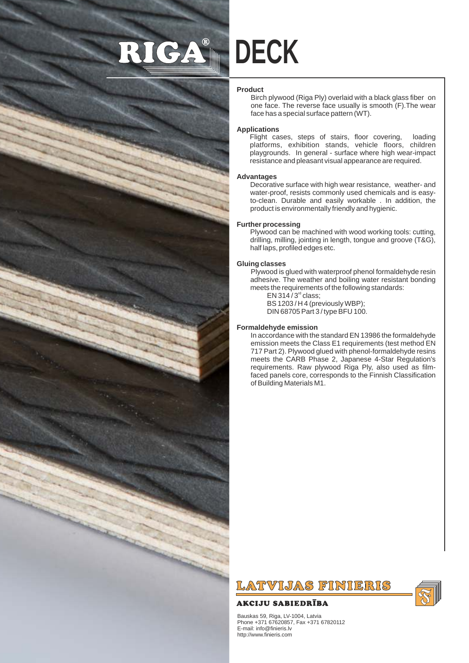# RIGA® **DECK**

# **Product**

Birch plywood (Riga Ply) overlaid with a black glass fiber on one face. The reverse face usually is smooth (F).The wear face has a special surface pattern (WT).

#### **Applications**

Flight cases, steps of stairs, floor covering, loading platforms, exhibition stands, vehicle floors, children playgrounds. In general - surface where high wear-impact resistance and pleasant visual appearance are required.

#### **Advantages**

Decorative surface with high wear resistance, weather- and water-proof, resists commonly used chemicals and is easyto-clean. Durable and easily workable . In addition, the product is environmentally friendly and hygienic.

# **Further processing**

Plywood can be machined with wood working tools: cutting, drilling, milling, jointing in length, tongue and groove (T&G), half laps, profiled edges etc.

#### **Gluing classes**

Plywood is glued with waterproof phenol formaldehyde resin adhesive. The weather and boiling water resistant bonding meets the requirements of the following standards:  $EN 314 / 3<sup>rd</sup> class;$ 

BS 1203 / H 4 (previously WBP);

DIN 68705 Part 3 / type BFU 100.

#### **Formaldehyde emission**

In accordance with the standard EN 13986 the formaldehyde emission meets the Class E1 requirements (test method EN 717 Part 2). Plywood glued with phenol-formaldehyde resins meets the CARB Phase 2, Japanese 4-Star Regulation's requirements. Raw plywood Riga Ply, also used as filmfaced panels core, corresponds to the Finnish Classification of Building Materials M1.



# **AKCIJU SABIEDRĪBA**

Bauskas 59, Riga, LV-1004, Latvia Phone +371 67620857, Fax +371 67820112 E-mail: info@finieris.lv http://www.finieris.com